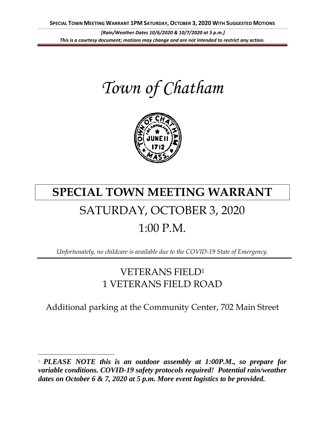*Town of Chatham*



# **SPECIAL TOWN MEETING WARRANT** SATURDAY, OCTOBER 3, 2020 1:00 P.M.

*Unfortunately, no childcare is available due to the COVID-19 State of Emergency.*

# VETERANS FIELD<sup>1</sup> 1 VETERANS FIELD ROAD

Additional parking at the Community Center, 702 Main Street

<sup>1</sup> *PLEASE NOTE this is an outdoor assembly at 1:00P.M., so prepare for variable conditions. COVID-19 safety protocols required! Potential rain/weather dates on October 6 & 7, 2020 at 5 p.m. More event logistics to be provided.*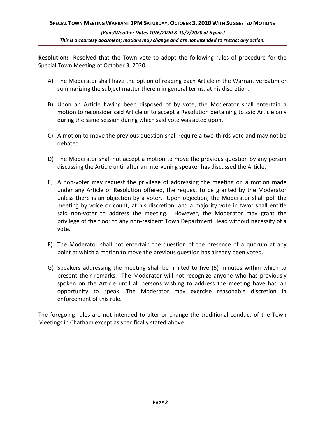**Resolution:** Resolved that the Town vote to adopt the following rules of procedure for the Special Town Meeting of October 3, 2020.

- A) The Moderator shall have the option of reading each Article in the Warrant verbatim or summarizing the subject matter therein in general terms, at his discretion.
- B) Upon an Article having been disposed of by vote, the Moderator shall entertain a motion to reconsider said Article or to accept a Resolution pertaining to said Article only during the same session during which said vote was acted upon.
- C) A motion to move the previous question shall require a two-thirds vote and may not be debated.
- D) The Moderator shall not accept a motion to move the previous question by any person discussing the Article until after an intervening speaker has discussed the Article.
- E) A non-voter may request the privilege of addressing the meeting on a motion made under any Article or Resolution offered, the request to be granted by the Moderator unless there is an objection by a voter. Upon objection, the Moderator shall poll the meeting by voice or count, at his discretion, and a majority vote in favor shall entitle said non-voter to address the meeting. However, the Moderator may grant the privilege of the floor to any non-resident Town Department Head without necessity of a vote.
- F) The Moderator shall not entertain the question of the presence of a quorum at any point at which a motion to move the previous question has already been voted.
- G) Speakers addressing the meeting shall be limited to five (5) minutes within which to present their remarks. The Moderator will not recognize anyone who has previously spoken on the Article until all persons wishing to address the meeting have had an opportunity to speak. The Moderator may exercise reasonable discretion in enforcement of this rule.

The foregoing rules are not intended to alter or change the traditional conduct of the Town Meetings in Chatham except as specifically stated above.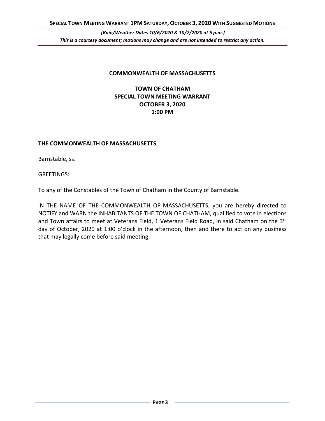#### **COMMONWEALTH OF MASSACHUSETTS**

# **TOWN OF CHATHAM SPECIAL TOWN MEETING WARRANT OCTOBER 3, 2020 1:00 PM**

#### **THE COMMONWEALTH OF MASSACHUSETTS**

Barnstable, ss.

GREETINGS:

To any of the Constables of the Town of Chatham in the County of Barnstable.

IN THE NAME OF THE COMMONWEALTH OF MASSACHUSETTS, you are hereby directed to NOTIFY and WARN the INHABITANTS OF THE TOWN OF CHATHAM, qualified to vote in elections and Town affairs to meet at Veterans Field, 1 Veterans Field Road, in said Chatham on the 3<sup>rd</sup> day of October, 2020 at 1:00 o'clock in the afternoon, then and there to act on any business that may legally come before said meeting.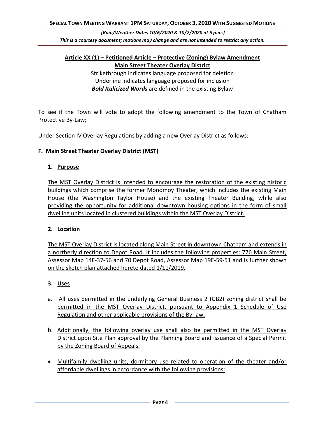## **Article XX (1) – Petitioned Article – Protective (Zoning) Bylaw Amendment Main Street Theater Overlay District**

Strikethrough-indicates language proposed for deletion Underline indicates language proposed for inclusion *Bold Italicized Words* are defined in the existing Bylaw

To see if the Town will vote to adopt the following amendment to the Town of Chatham Protective By-Law;

Under Section IV Overlay Regulations by adding a new Overlay District as follows:

#### **F. Main Street Theater Overlay District (MST)**

#### **1. Purpose**

The MST Overlay District is intended to encourage the restoration of the existing historic buildings which comprise the former Monomoy Theater, which includes the existing Main House (the Washington Taylor House) and the existing Theater Building, while also providing the opportunity for additional downtown housing options in the form of small dwelling units located in clustered buildings within the MST Overlay District.

#### **2. Location**

The MST Overlay District is located along Main Street in downtown Chatham and extends in a northerly direction to Depot Road. It includes the following properties: 776 Main Street, Assessor Map 14E-37-56 and 70 Depot Road, Assessor Map 19E-59-51 and is further shown on the sketch plan attached hereto dated 1/11/2019.

#### **3. Uses**

- a. All uses permitted in the underlying General Business 2 (GB2) zoning district shall be permitted in the MST Overlay District, pursuant to Appendix 1 Schedule of Use Regulation and other applicable provisions of the By-law.
- b. Additionally, the following overlay use shall also be permitted in the MST Overlay District upon Site Plan approval by the Planning Board and issuance of a Special Permit by the Zoning Board of Appeals.
- Multifamily dwelling units, dormitory use related to operation of the theater and/or affordable dwellings in accordance with the following provisions: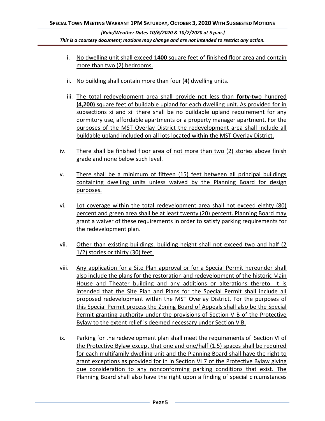- i. No dwelling unit shall exceed **1400** square feet of finished floor area and contain more than two (2) bedrooms.
- ii. No building shall contain more than four (4) dwelling units.
- iii. The total redevelopment area shall provide not less than **forty-**two hundred **(4,200)** square feet of buildable upland for each dwelling unit. As provided for in subsections xi and xii there shall be no buildable upland requirement for any dormitory use, affordable apartments or a property manager apartment. For the purposes of the MST Overlay District the redevelopment area shall include all buildable upland included on all lots located within the MST Overlay District.
- iv. There shall be finished floor area of not more than two (2) stories above finish grade and none below such level.
- v. There shall be a minimum of fifteen (15) feet between all principal buildings containing dwelling units unless waived by the Planning Board for design purposes.
- vi. Lot coverage within the total redevelopment area shall not exceed eighty (80) percent and green area shall be at least twenty (20) percent. Planning Board may grant a waiver of these requirements in order to satisfy parking requirements for the redevelopment plan.
- vii. Other than existing buildings, building height shall not exceed two and half (2 1/2) stories or thirty (30) feet.
- viii. Any application for a Site Plan approval or for a Special Permit hereunder shall also include the plans for the restoration and redevelopment of the historic Main House and Theater building and any additions or alterations thereto. It is intended that the Site Plan and Plans for the Special Permit shall include all proposed redevelopment within the MST Overlay District. For the purposes of this Special Permit process the Zoning Board of Appeals shall also be the Special Permit granting authority under the provisions of Section V B of the Protective Bylaw to the extent relief is deemed necessary under Section V B.
- ix. Parking for the redevelopment plan shall meet the requirements of Section VI of the Protective Bylaw except that one and one/half (1.5) spaces shall be required for each multifamily dwelling unit and the Planning Board shall have the right to grant exceptions as provided for in in Section VI 7 of the Protective Bylaw giving due consideration to any nonconforming parking conditions that exist. The Planning Board shall also have the right upon a finding of special circumstances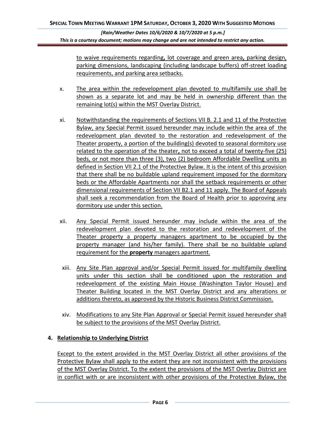to waive requirements regarding**,** lot coverage and green area**,** parking design, parking dimensions, landscaping (including landscape buffers) off-street loading requirements, and parking area setbacks.

- x. The area within the redevelopment plan devoted to multifamily use shall be shown as a separate lot and may be held in ownership different than the remaining lot(s) within the MST Overlay District.
- xi. Notwithstanding the requirements of Sections VII B. 2.1 and 11 of the Protective Bylaw, any Special Permit issued hereunder may include within the area of the redevelopment plan devoted to the restoration and redevelopment of the Theater property, a portion of the building(s) devoted to seasonal dormitory use related to the operation of the theater**,** not to exceed a total of twenty-five (25) beds, or not more than three (3), two (2) bedroom Affordable Dwelling units as defined in Section VII 2.1 of the Protective Bylaw. It is the intent of this provision that there shall be no buildable upland requirement imposed for the dormitory beds or the Affordable Apartments nor shall the setback requirements or other dimensional requirements of Section VII B2.1 and 11 apply. The Board of Appeals shall seek a recommendation from the Board of Health prior to approving any dormitory use under this section.
- xii. Any Special Permit issued hereunder may include within the area of the redevelopment plan devoted to the restoration and redevelopment of the Theater property a property managers apartment to be occupied by the property manager (and his/her family). There shall be no buildable upland requirement for the **property** managers apartment.
- xiii. Any Site Plan approval and/or Special Permit issued for multifamily dwelling units under this section shall be conditioned upon the restoration and redevelopment of the existing Main House (Washington Taylor House) and Theater Building located in the MST Overlay District and any alterations or additions thereto, as approved by the Historic Business District Commission.
- xiv. Modifications to any Site Plan Approval or Special Permit issued hereunder shall be subject to the provisions of the MST Overlay District.

## **4. Relationship to Underlying District**

Except to the extent provided in the MST Overlay District all other provisions of the Protective Bylaw shall apply to the extent they are not inconsistent with the provisions of the MST Overlay District. To the extent the provisions of the MST Overlay District are in conflict with or are inconsistent with other provisions of the Protective Bylaw, the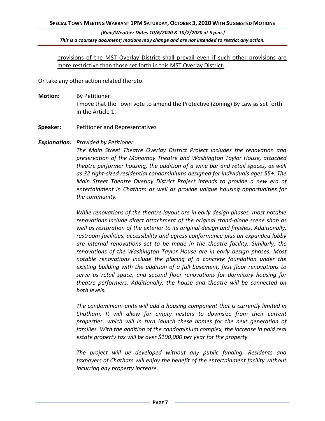provisions of the MST Overlay District shall prevail even if such other provisions are more restrictive than those set forth in this MST Overlay District.

Or take any other action related thereto.

- **Motion:** By Petitioner I move that the Town vote to amend the Protective (Zoning) By Law as set forth in the Article 1.
- **Speaker:** Petitioner and Representatives
- *Explanation: Provided by Petitioner*

*The Main Street Theatre Overlay District Project includes the renovation and preservation of the Monomoy Theatre and Washington Taylor House, attached theatre performer housing, the addition of a wine bar and retail spaces, as well as 32 right-sized residential condominiums designed for individuals ages 55+. The Main Street Theatre Overlay District Project intends to provide a new era of entertainment in Chatham as well as provide unique housing opportunities for the community.*

*While renovations of the theatre layout are in early design phases, most notable renovations include direct attachment of the original stand-alone scene shop as well as restoration of the exterior to its original design and finishes. Additionally, restroom facilities, accessibility and egress conformance plus an expanded lobby are internal renovations set to be made in the theatre facility. Similarly, the renovations of the Washington Taylor House are in early design phases. Most notable renovations include the placing of a concrete foundation under the existing building with the addition of a full basement, first floor renovations to serve as retail space, and second floor renovations for dormitory housing for theatre performers. Additionally, the house and theatre will be connected on both levels.* 

*The condominium units will add a housing component that is currently limited in Chatham. It will allow for empty nesters to downsize from their current properties, which will in turn launch these homes for the next generation of*  families. With the addition of the condominium complex, the increase in paid real *estate property tax will be over \$100,000 per year for the property.*

*The project will be developed without any public funding. Residents and taxpayers of Chatham will enjoy the benefit of the entertainment facility without incurring any property increase.*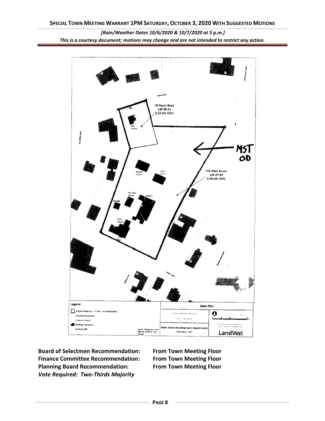



**Board of Selectmen Recommendation: From Town Meeting Floor Finance Committee Recommendation: From Town Meeting Floor Planning Board Recommendation: From Town Meeting Floor** *Vote Required: Two-Thirds Majority*